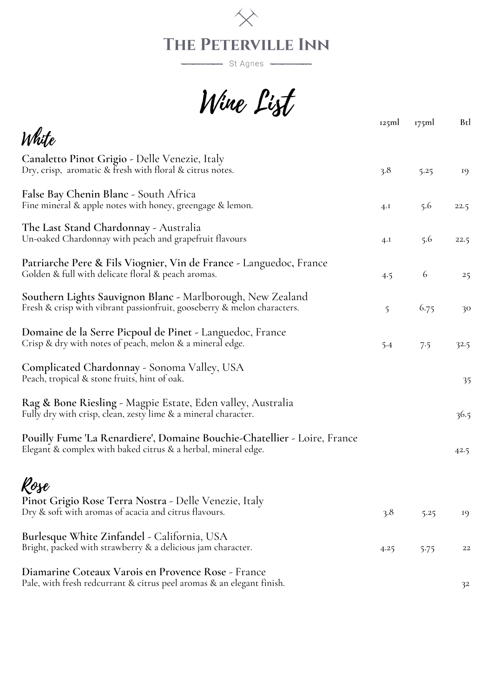

St Agnes

Wine List

| O V                                                                                                                                       | 125ml | 175ml | Btl  |
|-------------------------------------------------------------------------------------------------------------------------------------------|-------|-------|------|
| White                                                                                                                                     |       |       |      |
| Canaletto Pinot Grigio - Delle Venezie, Italy<br>Dry, crisp, aromatic & fresh with floral & citrus notes.                                 | 3.8   | 5.25  | 19   |
| False Bay Chenin Blanc - South Africa<br>Fine mineral & apple notes with honey, greengage & lemon.                                        | 4.I   | 5.6   | 22.5 |
| The Last Stand Chardonnay - Australia<br>Un-oaked Chardonnay with peach and grapefruit flavours                                           | 4.I   | 5.6   | 22.5 |
| Patriarche Pere & Fils Viognier, Vin de France - Languedoc, France<br>Golden & full with delicate floral & peach aromas.                  | 4.5   | 6     | 25   |
| Southern Lights Sauvignon Blanc - Marlborough, New Zealand<br>Fresh & crisp with vibrant passionfruit, gooseberry & melon characters.     | 5     | 6.75  | 30   |
| Domaine de la Serre Picpoul de Pinet - Languedoc, France<br>Crisp & dry with notes of peach, melon & a mineral edge.                      | 5.4   | 7.5   | 32.5 |
| Complicated Chardonnay - Sonoma Valley, USA<br>Peach, tropical & stone fruits, hint of oak.                                               |       |       | 35   |
| Rag & Bone Riesling - Magpie Estate, Eden valley, Australia<br>Fully dry with crisp, clean, zesty lime & a mineral character.             |       |       | 36.5 |
| Pouilly Fume 'La Renardiere', Domaine Bouchie-Chatellier - Loire, France<br>Elegant & complex with baked citrus & a herbal, mineral edge. |       |       | 42.5 |
|                                                                                                                                           |       |       |      |
| Rose<br>Pinot Grigio Rose Terra Nostra - Delle Venezie, Italy<br>Dry & soft with aromas of acacia and citrus flavours.                    | 3.8   | 5.25  | 19   |
| Burlesque White Zinfandel - California, USA<br>Bright, packed with strawberry & a delicious jam character.                                | 4.25  | 5.75  | 22   |
| Diamarine Coteaux Varois en Provence Rose - France<br>Pale, with fresh redcurrant & citrus peel aromas & an elegant finish.               |       |       | 32   |